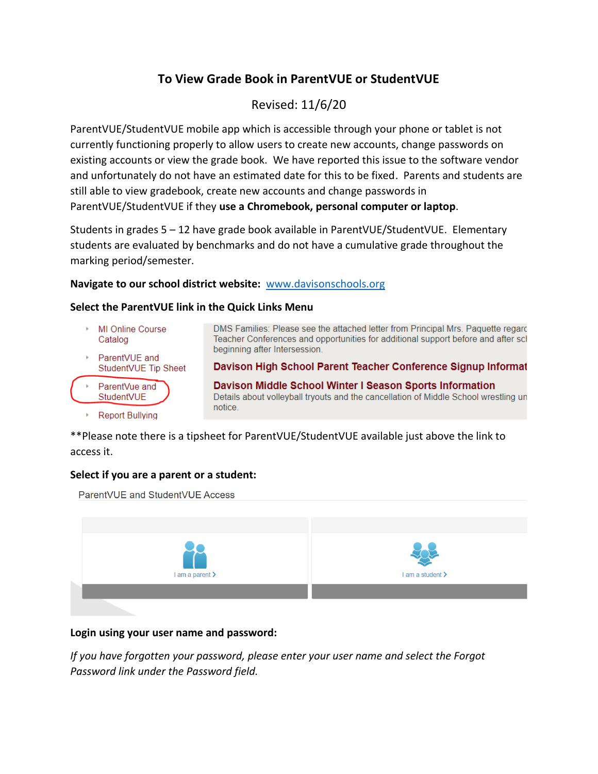# **To View Grade Book in ParentVUE or StudentVUE**

# Revised: 11/6/20

ParentVUE/StudentVUE mobile app which is accessible through your phone or tablet is not currently functioning properly to allow users to create new accounts, change passwords on existing accounts or view the grade book. We have reported this issue to the software vendor and unfortunately do not have an estimated date for this to be fixed. Parents and students are still able to view gradebook, create new accounts and change passwords in ParentVUE/StudentVUE if they **use a Chromebook, personal computer or laptop**.

Students in grades 5 – 12 have grade book available in ParentVUE/StudentVUE. Elementary students are evaluated by benchmarks and do not have a cumulative grade throughout the marking period/semester.

#### **Navigate to our school district website:**<www.davisonschools.org>

#### **Select the ParentVUE link in the Quick Links Menu**

- MI Online Course Catalog
- ParentVUE and StudentVUE Tip Sheet
- ParentVue and StudentVUE
	- **Report Bullying**

DMS Families: Please see the attached letter from Principal Mrs. Paquette regard Teacher Conferences and opportunities for additional support before and after scl beginning after Intersession.

Davison High School Parent Teacher Conference Signup Informat

Davison Middle School Winter I Season Sports Information Details about volleyball tryouts and the cancellation of Middle School wrestling un notice.

\*\*Please note there is a tipsheet for ParentVUE/StudentVUE available just above the link to access it.

### **Select if you are a parent or a student:**

ParentVUE and StudentVUE Access



### **Login using your user name and password:**

*If you have forgotten your password, please enter your user name and select the Forgot Password link under the Password field.*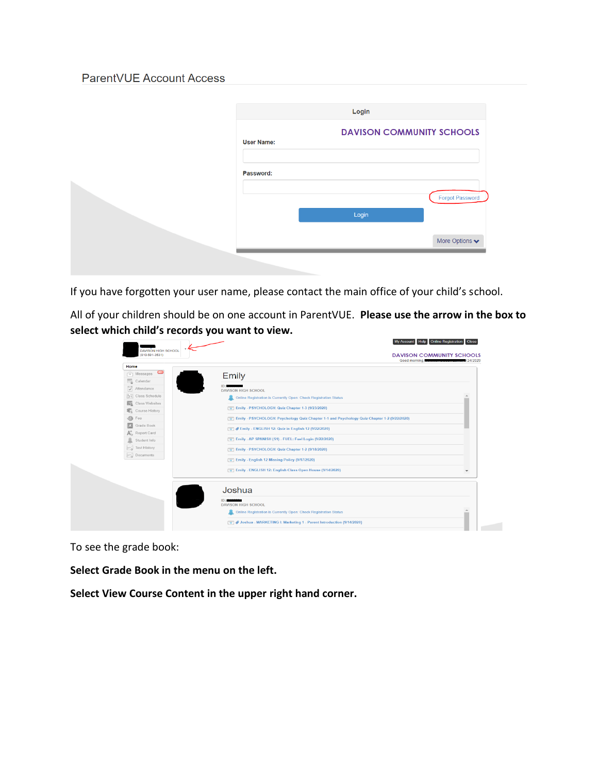## ParentVUE Account Access

|                   | Login |                                    |
|-------------------|-------|------------------------------------|
| <b>User Name:</b> |       | <b>DAVISON COMMUNITY SCHOOLS</b>   |
| Password:         |       |                                    |
|                   | Login | <b>Forgot Password</b>             |
|                   |       | More Options $\blacktriangleright$ |
|                   |       |                                    |

If you have forgotten your user name, please contact the main office of your child's school.

All of your children should be on one account in ParentVUE. **Please use the arrow in the box to select which child's records you want to view.**

|                                                                                                  | Home                             |
|--------------------------------------------------------------------------------------------------|----------------------------------|
| <b>Emily</b>                                                                                     | <b>COD</b><br>['@'] Messages     |
|                                                                                                  | Calendar                         |
| <b>DAVISON HIGH SCHOOL</b>                                                                       | Attendance                       |
| Online Registration is Currently Open: Check Registration Status                                 | $\frac{1}{2}$ ; Class Schedule   |
|                                                                                                  | 匹<br>Class Websites              |
| Emily - PSYCHOLOGY: Quiz Chapter 1-3 (9/23/2020)                                                 | Course History                   |
| [77] Emily - PSYCHOLOGY: Psychology Quiz Chapter 1-1 and Psychology Quiz Chapter 1-2 (9/22/2020) | $\circledcirc$<br>Fee            |
| <b>Emily - ENGLISH 12: Quiz in English 12 (9/22/2020)</b>                                        | 囚<br>Grade Book                  |
|                                                                                                  | $A_{\circledcirc}^+$ Report Card |
| Emily - AP SPANISH (S1) - FUEL: Fuel Login (9/22/2020)                                           | å<br>Student Info                |
| [w] Emily - PSYCHOLOGY: Quiz Chapter 1-2 (9/18/2020)                                             | May Test History                 |
| [50] Emily - English 12 Missing Policy (9/17/2020)                                               | $\sim$ Documents                 |
| [w] Emily - ENGLISH 12: English Class Open House (9/14/2020)                                     |                                  |
| Joshua                                                                                           |                                  |
| <b>DAVISON HIGH SCHOOL</b>                                                                       |                                  |
| Online Registration is Currently Open: Check Registration Status                                 |                                  |

To see the grade book:

**Select Grade Book in the menu on the left.**

**Select View Course Content in the upper right hand corner.**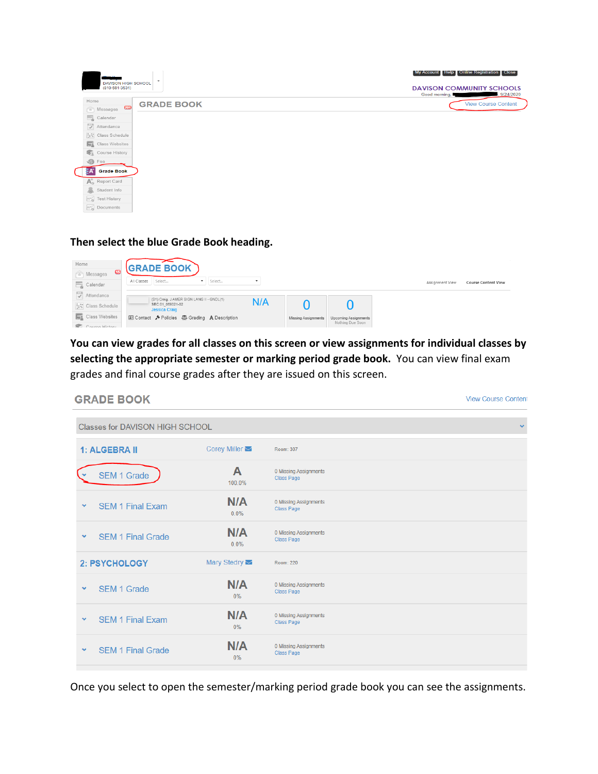| <b>DAVISON HIGH SCHOOL</b><br>$(810 - 591 - 3531)$ | $\check{}$        | My Account   Help   Online Registration   Close  <br><b>DAVISON COMMUNITY SCHOOLS</b><br>9/24/2020<br>Good morning, |
|----------------------------------------------------|-------------------|---------------------------------------------------------------------------------------------------------------------|
| Home<br>CD                                         | <b>GRADE BOOK</b> | <b>View Course Content</b>                                                                                          |
| <sup>o</sup> Messages<br>Calendar                  |                   |                                                                                                                     |
| $\sqrt{\frac{1}{2}}$ Attendance                    |                   |                                                                                                                     |
| ist Class Schedule                                 |                   |                                                                                                                     |
| <b>Fig.</b> Class Websites                         |                   |                                                                                                                     |
| Course History                                     |                   |                                                                                                                     |
| $\circledcirc$<br>Fee<br><b>Grade Book</b>         |                   |                                                                                                                     |
| $A^{\dagger}_{\odot}$ Report Card                  |                   |                                                                                                                     |
| å.<br>Student Info                                 |                   |                                                                                                                     |
| w Test History                                     |                   |                                                                                                                     |
| No Documents                                       |                   |                                                                                                                     |

**Then select the blue Grade Book heading.**



**You can view grades for all classes on this screen or view assignments for individual classes by selecting the appropriate semester or marking period grade book.** You can view final exam grades and final course grades after they are issued on this screen.

| <b>GRADE BOOK</b>                        |                      |                                            | <b>View Course Content</b> |
|------------------------------------------|----------------------|--------------------------------------------|----------------------------|
| <b>Classes for DAVISON HIGH SCHOOL</b>   |                      |                                            | $\mathbf{v}$               |
| 1: ALGEBRA II                            | Corey Miller         | Room: 307                                  |                            |
| <b>SEM 1 Grade</b>                       | A<br>100.0%          | 0 Missing Assignments<br>Class Page        |                            |
| <b>SEM 1 Final Exam</b><br>$\checkmark$  | <b>N/A</b><br>0.0%   | 0 Missing Assignments<br>Class Page        |                            |
| <b>SEM 1 Final Grade</b><br>$\checkmark$ | N/A<br>0.0%          | 0 Missing Assignments<br><b>Class Page</b> |                            |
| 2: PSYCHOLOGY                            | Mary Stedry <b>▽</b> | Room: 220                                  |                            |
| <b>SEM 1 Grade</b><br>٧                  | N/A<br>0%            | 0 Missing Assignments<br><b>Class Page</b> |                            |
| <b>SEM 1 Final Exam</b><br>$\checkmark$  | N/A<br>0%            | 0 Missing Assignments<br><b>Class Page</b> |                            |
| <b>SEM 1 Final Grade</b><br>$\checkmark$ | N/A<br>0%            | 0 Missing Assignments<br>Class Page        |                            |
|                                          |                      |                                            |                            |

Once you select to open the semester/marking period grade book you can see the assignments.